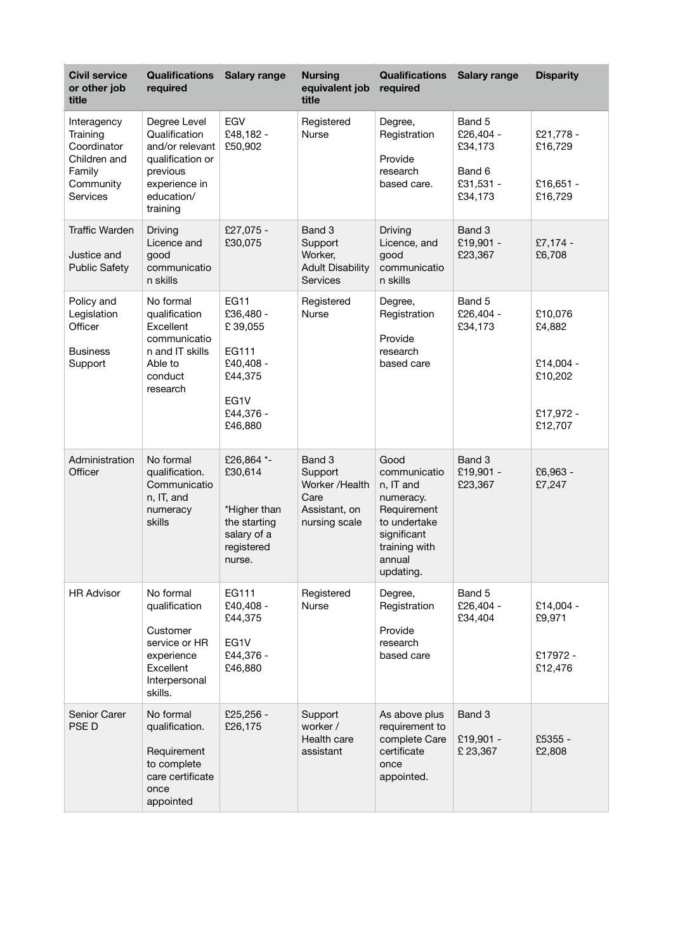| <b>Civil service</b><br>or other job<br>title                                             | <b>Qualifications</b><br>required                                                                                           | <b>Salary range</b>                                                                                  | <b>Nursing</b><br>equivalent job<br>title                                     | <b>Qualifications</b><br>required                                                                                                    | <b>Salary range</b>                                              | <b>Disparity</b>                                                  |
|-------------------------------------------------------------------------------------------|-----------------------------------------------------------------------------------------------------------------------------|------------------------------------------------------------------------------------------------------|-------------------------------------------------------------------------------|--------------------------------------------------------------------------------------------------------------------------------------|------------------------------------------------------------------|-------------------------------------------------------------------|
| Interagency<br>Training<br>Coordinator<br>Children and<br>Family<br>Community<br>Services | Degree Level<br>Qualification<br>and/or relevant<br>qualification or<br>previous<br>experience in<br>education/<br>training | EGV<br>£48,182 -<br>£50,902                                                                          | Registered<br><b>Nurse</b>                                                    | Degree,<br>Registration<br>Provide<br>research<br>based care.                                                                        | Band 5<br>£26,404 -<br>£34,173<br>Band 6<br>£31,531 -<br>£34,173 | £21,778 -<br>£16,729<br>£16,651 -<br>£16,729                      |
| <b>Traffic Warden</b><br>Justice and<br><b>Public Safety</b>                              | Driving<br>Licence and<br>good<br>communicatio<br>n skills                                                                  | £27,075 -<br>£30,075                                                                                 | Band 3<br>Support<br>Worker,<br><b>Adult Disability</b><br><b>Services</b>    | Driving<br>Licence, and<br>good<br>communicatio<br>n skills                                                                          | Band 3<br>£19,901 -<br>£23,367                                   | $£7,174-$<br>£6,708                                               |
| Policy and<br>Legislation<br>Officer<br><b>Business</b><br>Support                        | No formal<br>qualification<br>Excellent<br>communicatio<br>n and IT skills<br>Able to<br>conduct<br>research                | <b>EG11</b><br>£36,480 -<br>£39,055<br>EG111<br>£40,408 -<br>£44,375<br>EG1V<br>£44,376 -<br>£46,880 | Registered<br>Nurse                                                           | Degree,<br>Registration<br>Provide<br>research<br>based care                                                                         | Band 5<br>£26,404 -<br>£34,173                                   | £10,076<br>£4,882<br>£14,004 -<br>£10,202<br>£17,972 -<br>£12,707 |
| Administration<br>Officer                                                                 | No formal<br>qualification.<br>Communicatio<br>n, IT, and<br>numeracy<br>skills                                             | £26,864 *-<br>£30,614<br>*Higher than<br>the starting<br>salary of a<br>registered<br>nurse.         | Band 3<br>Support<br>Worker /Health<br>Care<br>Assistant, on<br>nursing scale | Good<br>communicatio<br>n, IT and<br>numeracy.<br>Requirement<br>to undertake<br>significant<br>training with<br>annual<br>updating. | Band 3<br>£19,901 -<br>£23,367                                   | £6,963 -<br>£7,247                                                |
| <b>HR Advisor</b>                                                                         | No formal<br>qualification<br>Customer<br>service or HR<br>experience<br>Excellent<br>Interpersonal<br>skills.              | EG111<br>£40,408 -<br>£44,375<br>EG1V<br>£44,376 -<br>£46,880                                        | Registered<br>Nurse                                                           | Degree,<br>Registration<br>Provide<br>research<br>based care                                                                         | Band 5<br>£26,404 -<br>£34,404                                   | £14,004 -<br>£9,971<br>£17972 -<br>£12,476                        |
| Senior Carer<br>PSE D                                                                     | No formal<br>qualification.<br>Requirement<br>to complete<br>care certificate<br>once<br>appointed                          | £25,256 -<br>£26,175                                                                                 | Support<br>worker /<br>Health care<br>assistant                               | As above plus<br>requirement to<br>complete Care<br>certificate<br>once<br>appointed.                                                | Band 3<br>£19,901 -<br>£23,367                                   | £5355 -<br>£2,808                                                 |